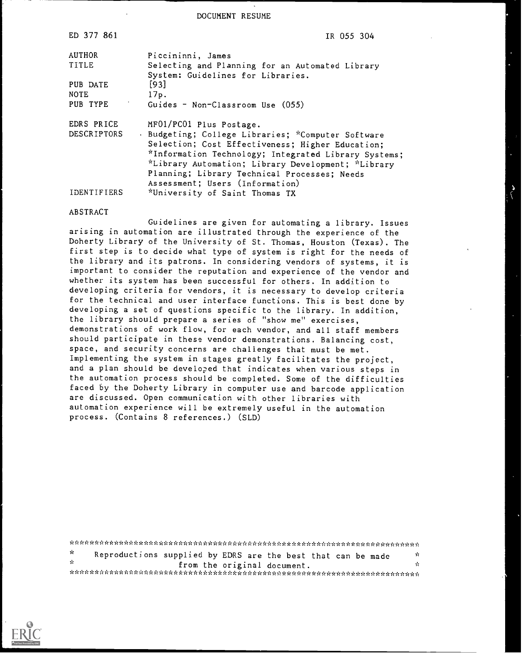DOCUMENT RESUME

| ED 377 861                       | IR 055 304                                                                                                                                                                                                                                                                                                                         |
|----------------------------------|------------------------------------------------------------------------------------------------------------------------------------------------------------------------------------------------------------------------------------------------------------------------------------------------------------------------------------|
| AUTHOR                           | Piccininni, James                                                                                                                                                                                                                                                                                                                  |
| TITLE                            | Selecting and Planning for an Automated Library<br>System: Guidelines for Libraries.                                                                                                                                                                                                                                               |
| PUB DATE                         | [93]                                                                                                                                                                                                                                                                                                                               |
| <b>NOTE</b>                      | 17p.                                                                                                                                                                                                                                                                                                                               |
| PUB TYPE                         | Guides - Non-Classroom Use (055)                                                                                                                                                                                                                                                                                                   |
| EDRS PRICE<br><b>DESCRIPTORS</b> | MF01/PC01 Plus Postage.<br>· Budgeting; College Libraries; *Computer Software<br>Selection; Cost Effectiveness; Higher Education;<br>*Information Technology; Integrated Library Systems;<br>*Library Automation; Library Development; *Library<br>Planning; Library Technical Processes; Needs<br>Assessment; Users (Information) |
| IDENTIFIERS                      | *University of Saint Thomas TX                                                                                                                                                                                                                                                                                                     |

## ABSTRACT

Guidelines are given for automating a library. Issues arising in automation are illustrated through the experience of the Doherty Library of the University of St. Thomas, Houston (Texas). The first step is to decide what type of system is right for the needs of the library and its patrons. In considering vendors of systems, it is important to consider the reputation and experience of the vendor and whether its system has been successful for others. In addition to developing criteria for vendors, it is necessary to develop criteria for the technical and user interface functions. This is best done by developing a set of questions specific to the library. In addition, the library should prepare a series of "show me" exercises, demonstrations of work flow, for each vendor, and all staff members should participate in these vendor demonstrations. Balancing cost, space, and security concerns are challenges that must be met. Implementing the system in stages greatly facilitates the project, and a plan should be developed that indicates when various steps in the automation process should be completed. Some of the difficulties faced by the Doherty Library in computer use and barcode application are discussed. Open communication with other libraries with automation experience will be extremely useful in the automation process. (Contains 8 references.) (SLD)

 $\mathbf{r}$ Reproductions supplied by EDRS are the best that can be made  $\mathcal{L}_\mathrm{f}$ from the original document. šk. AA::\*AAA\*\*\*AA\*\*\*\*\*\*\*\*\*\*\*\*\*\*\*\*\*\*\*\*\*\*\*\*\*\*\*\*\*\*\*\*\*\*\*\*\*\*\*\*\*\*\*\*\*\*\*\*\*\*\*

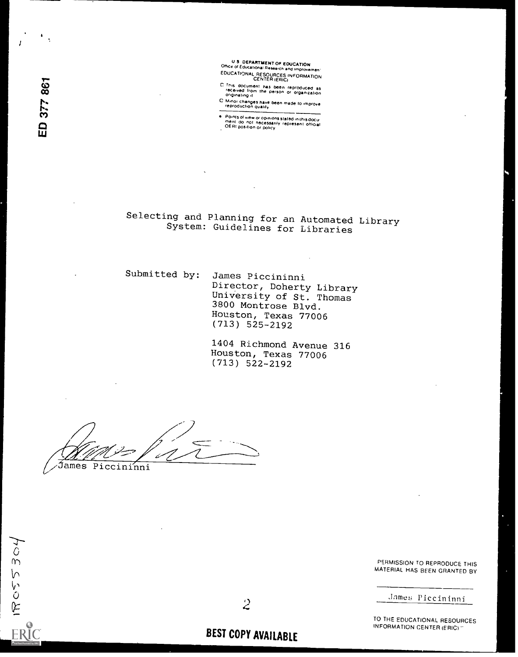U S DEPARTMENT OF EDUCATION<br>Office of Educational Research and improvemen-EDUCATIONAL RESOURCES INFORMATION<br>CENTER IERICI

C This document has been reproduced as received from the person or organization or organization

C. Minor changes have been made to improve.<br>Treproduction quality

Points of view or opinions stated in this docu-<br>ment ido. not inecessarily represent official<br>OERI position or policy  $\bullet$ 

Selecting and Planning for an Automated Library System: Guidelines for Libraries

Submitted by: James Piccininni Director, Doherty Library University of St. Thomas 3800 Montrose Blvd. Houston, Texas 77006 (713) 525-2192

> 1404 Richmond Avenue 316 Houston, Texas 77006 (713) 522-2192

James Piccininni

PERMISSION TO REPRODUCE THIS MATERIAL HAS BEEN GRANTED BY

James Piccininni

TO THE EDUCATIONAL RESOURCES INFORMATION CENTER (ERIC)

## BEST COPY AVAILABLE

ED 377 861

 $IRO5530$ 

ERÌ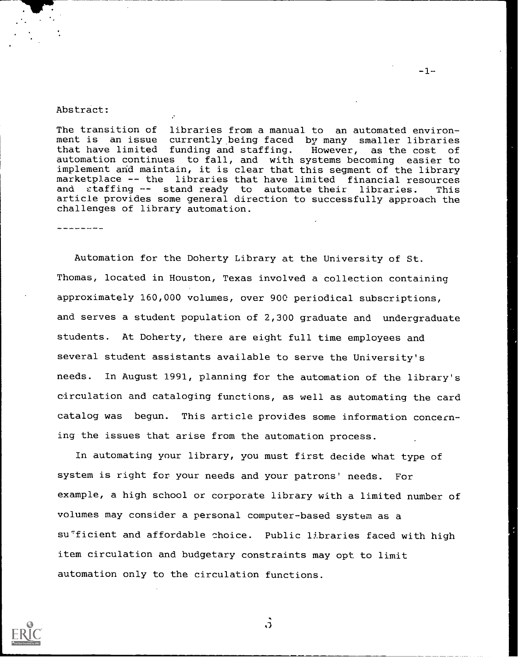## Abstract:

The transition of libraries from a manual to an automated environ-<br>ment is an issue currently being faced by many smaller libraries ment is an issue currently being faced by many smaller libraries<br>that have limited funding and staffing. However, as the cost of that have limited funding and staffing. However, as the cost of automation continues to fall, and with systems becoming easier to to fall, and with systems becoming easier to implement and maintain, it is clear that this segment of the library marketplace -- the libraries that have limited financial resources<br>and staffing -- stand ready to automate their libraries. This staffing -- stand ready to automate their libraries. article provides some general direction to successfully approach the challenges of library automation.

 $-1-$ 

Automation for the Doherty Library at the University of St. Thomas, located in Houston, Texas involved a collection containing approximately 160,000 volumes, over 900 periodical subscriptions, and serves a student population of 2,300 graduate and undergraduate students. At Doherty, there are eight full time employees and several student assistants available to serve the University's needs. In August 1991, planning for the automation of the library's circulation and cataloging functions, as well as automating the card catalog was begun. This article provides some information concerning the issues that arise from the automation process.

In automating your library, you must first decide what type of system is right for your needs and your patrons' needs. For example, a high school or corporate library with a limited number of volumes may consider a personal computer-based system as a su<sup>e</sup>ficient and affordable choice. Public libraries faced with high item circulation and budgetary constraints may opt to limit automation only to the circulation functions.



 $\ddot{\cdot}$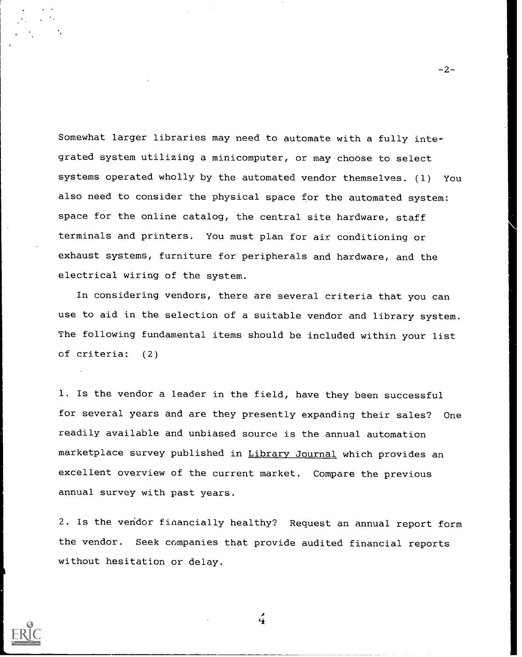Somewhat larger libraries may need to automate with a fully integrated system utilizing a minicomputer, or may choose to select systems operated wholly by the automated vendor themselves. (1) You also need to consider the physical space for the automated system: space for the online catalog, the central site hardware, staff terminals and printers. You must plan for air conditioning or exhaust systems, furniture for peripherals and hardware, and the electrical wiring of the system.

 $-2-$ 

In considering vendors, there are several criteria that you can use to aid in the selection of a suitable vendor and library system. The following fundamental items should be included within your list of criteria: (2)

1. Is the vendor a leader in the field, have they been successful for several years and are they presently expanding their sales? One readily available and unbiased source is the annual automation marketplace survey published in Library Journal which provides an excellent overview of the current market. Compare the previous annual survey with past years.

2. Is the vendor financially healthy? Request an annual report form the vendor. Seek companies that provide audited financial reports without hesitation or delay.



 $\tilde{4}$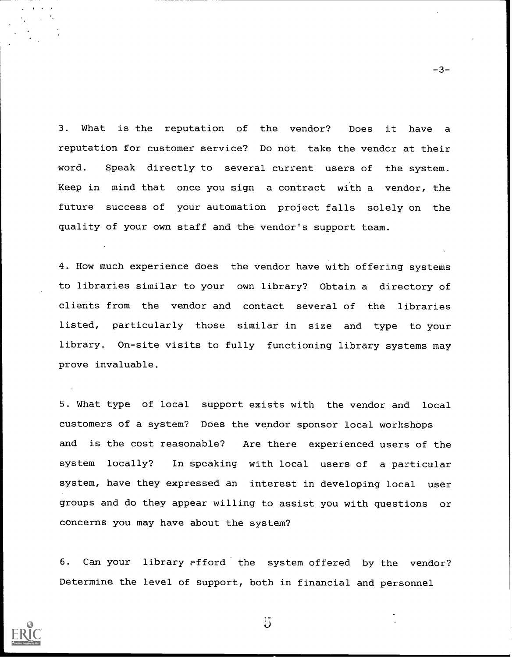3. What is the reputation of the vendor? Does it have a reputation for customer service? Do not take the vendor at their word. Speak directly to several current users of the system. Keep in mind that once you sign a contract with a vendor, the future success of your automation project falls solely on the quality of your own staff and the vendor's support team.

4. How much experience does the vendor have with offering systems to libraries similar to your own library? Obtain a directory of clients from the vendor and contact several of the libraries listed, particularly those similar in size and type to your library. On-site visits to fully functioning library systems may prove invaluable.

5. What type of local support exists with the vendor and local customers of a system? Does the vendor sponsor local workshops and is the cost reasonable? Are there experienced users of the system locally? In speaking with local users of a particular system, have they expressed an interest in developing local user groups and do they appear willing to assist you with questions or concerns you may have about the system?

6. Can your library afford the system offered by the vendor? Determine the level of support, both in financial and personnel



 $\mathbf{5}$ 

-3-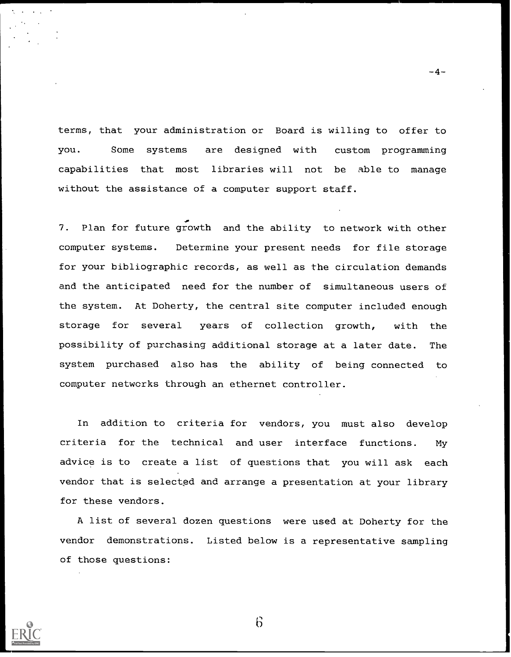terms, that your administration or Board is willing to offer to you. Some systems are designed with custom programming capabilities that most libraries will not be able to manage without the assistance of a computer support staff.

7. Plan for future growth and the ability to network with other computer systems. Determine your present needs for file storage for your bibliographic records, as well as the circulation demands and the anticipated need for the number of simultaneous users of the system. At Doherty, the central site computer included enough storage for several years of collection growth, with the possibility of purchasing additional storage at a later date. The system purchased also has the ability of being connected to computer networks through an ethernet controller.

In addition to criteria for vendors, you must also develop criteria for the technical and user interface functions. My advice is to create a list of questions that you will ask each vendor that is selected and arrange a presentation at your library for these vendors.

A list of several dozen questions were used at Doherty for the vendor demonstrations. Listed below is a representative sampling of those questions:



 $6\overline{6}$ 

-4-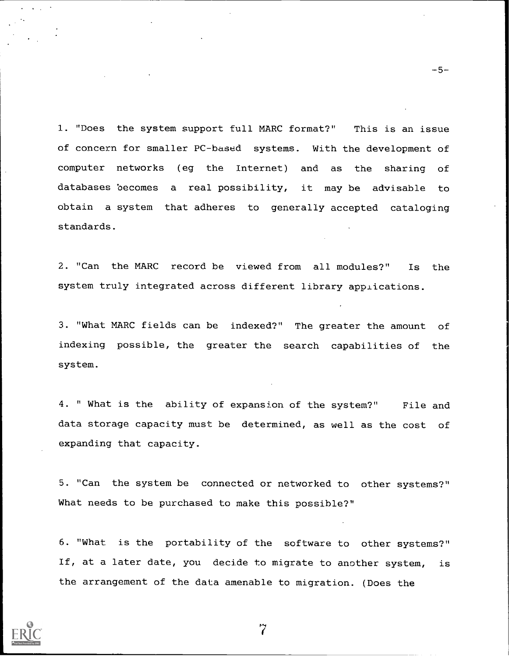1. "Does the system support full MARC format?" This is an issue of concern for smaller PC-based systems. With the development of computer networks (eg the Internet) and as the sharing of databases becomes a real possibility, it may be advisable to obtain a system that adheres to generally accepted cataloging standards.

2. "Can the MARC record be viewed from all modules?" Is the system truly integrated across different library applications.

3. "What MARC fields can be indexed?" The greater the amount of indexing possible, the greater the search capabilities of the system.

4. " What is the ability of expansion of the system?" File and data storage capacity must be determined, as well as the cost of expanding that capacity.

5. "Can the system be connected or networked to other systems?" What needs to be purchased to make this possible?"

6. "What is the portability of the software to other systems?" If, at a later date, you decide to migrate to another system, is the arrangement of the data amenable to migration. (Does the



7

-5-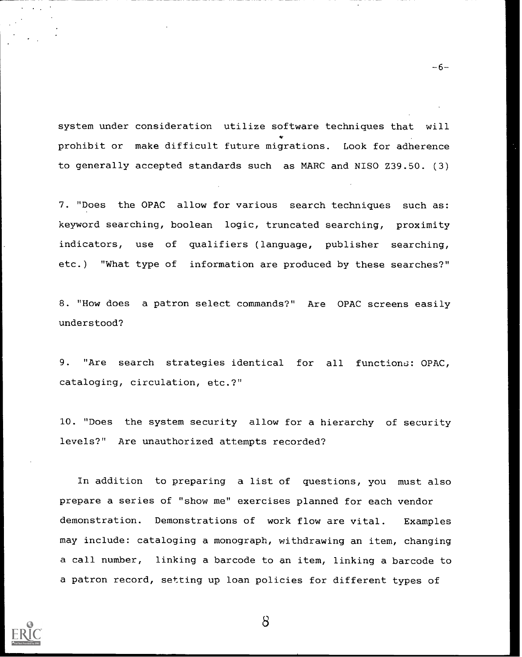system under consideration utilize software techniques that will prohibit or make difficult future migrations. Look for adherence to generally accepted standards such as MARC and NISO Z39.50. (3)

 $-6-$ 

7. "Does the OPAC allow for various search techniques such as: keyword searching, boolean logic, truncated searching, proximity indicators, use of qualifiers (language, publisher searching, etc.) "What type of information are produced by these searches?"

8. "How does a patron select commands?" Are OPAC screens easily understood?

9. "Are search strategies identical for all functions: OPAC, cataloging, circulation, etc.?"

10. "Does the system security allow for a hierarchy of security levels?" Are unauthorized attempts recorded?

In addition to preparing a list of questions, you must also prepare a series of "show me" exercises planned for each vendor demonstration. Demonstrations of work flow are vital. Examples may include: cataloging a monograph, withdrawing an item, changing a call number, linking a barcode to an item, linking a barcode to a patron record, setting up loan policies for different types of

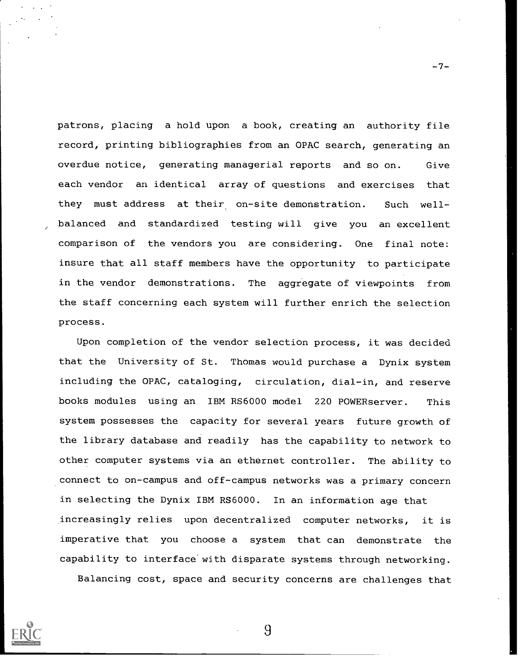patrons, placing a hold upon a book, creating an authority file record, printing bibliographies from an OPAC search, generating an overdue notice, generating managerial reports and so on. Give each vendor an identical array of questions and exercises that they must address at their on-site demonstration. balanced and standardized testing will give you an excellent Such wellcomparison of the vendors you are considering. One final note: insure that all staff members have the opportunity to participate in the vendor demonstrations. The aggregate of viewpoints from the staff concerning each system will further enrich the selection process.

 $-7-$ 

Upon completion of the vendor selection process, it was decided that the University of St. Thomas would purchase a Dynix system including the OPAC, cataloging, circulation, dial-in, and reserve books modules using an IBM RS6000 model 220 POWERserver. This system possesses the capacity for several years future growth of the library database and readily has the capability to network to other computer systems via an ethernet controller. The ability to connect to on-campus and off-campus networks was a primary concern in selecting the Dynix IBM RS6000. In an information age that increasingly relies upon decentralized computer networks, it is imperative that you choose a system that can demonstrate the capability to interface with disparate systems through networking.

Balancing cost, space and security concerns are challenges that

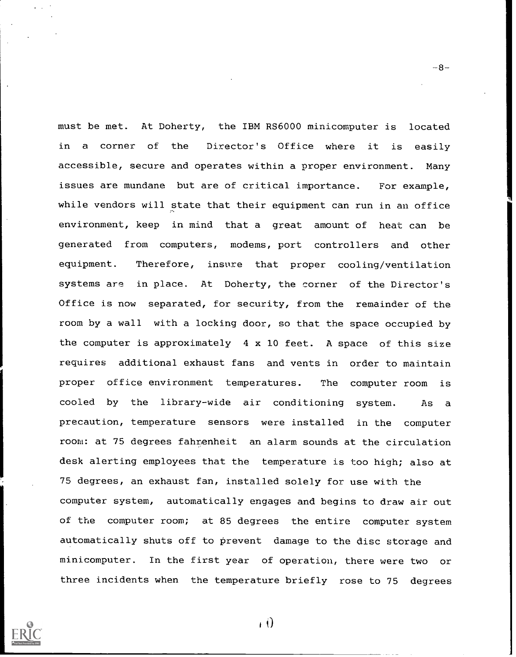must be met. At Doherty, the IBM RS6000 minicomputer is located in a corner of the Director's Office where it is easily accessible, secure and operates within a proper environment. Many issues are mundane but are of critical importance. For example, while vendors will state that their equipment can run in an office environment, keep in mind that a great amount of heat can be generated from computers, modems, port controllers and other equipment. Therefore, insure that proper cooling/ventilation systems are in place. At Doherty, the corner of the Director's Office is now separated, for security, from the remainder of the room by a wall with a locking door, so that the space occupied by the computer is approximately  $4 \times 10$  feet. A space of this size requires additional exhaust fans and vents in order to maintain proper office environment temperatures. The computer room is cooled by the library-wide air conditioning system. As a precaution, temperature sensors were installed in the computer room: at 75 degrees fahrenheit an alarm sounds at the circulation desk alerting employees that the temperature is too high; also at 75 degrees, an exhaust fan, installed solely for use with the computer system, automatically engages and begins to draw air out of the computer room; at 85 degrees the entire computer system automatically shuts off to prevent damage to the disc storage and minicomputer. In the first year of operation, there were two or three incidents when the temperature briefly rose to 75 degrees

 $-8-$ 



1 Q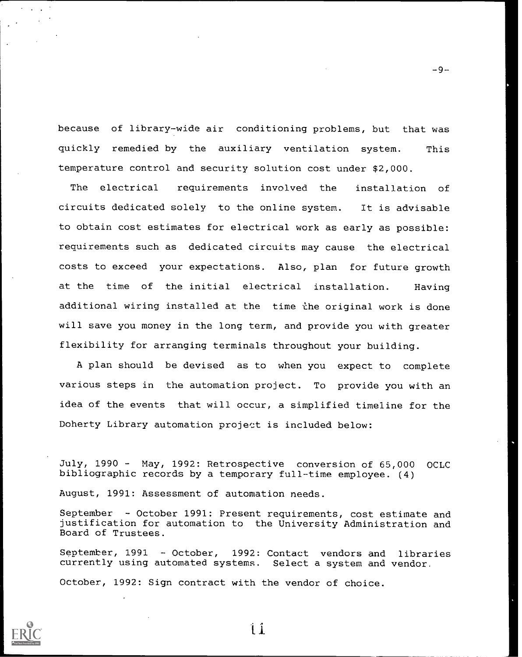because of library-wide air conditioning problems, but that was quickly remedied by the auxiliary ventilation system. This temperature control and security solution cost under \$2,000.

-9-

The electrical requirements involved the installation of circuits dedicated solely to the online system. It is advisable to obtain cost estimates for electrical work as early as possible: requirements such as dedicated circuits may cause the electrical costs to exceed your expectations. Also, plan for future growth at the time of the initial electrical installation. Having additional wiring installed at the time the original work is done will save you money in the long term, and provide you with greater flexibility for arranging terminals throughout your building.

A plan should be devised as to when you expect to complete various steps in the automation project. To provide you with an idea of the events that will occur, a simplified timeline for the Doherty Library automation project is included below:

July, 1990 - May, 1992: Retrospective conversion of 65,000 OCLC bibliographic records by a temporary full-time employee. (4)

August, 1991: Assessment of automation needs.

September - October 1991: Present requirements, cost estimate and justification for automation to the University Administration and Board of Trustees.

September, 1991 - October, 1992: Contact vendors and libraries currently using automated systems. Select a system and vendor.

October, 1992: Sign contract with the vendor of choice.



li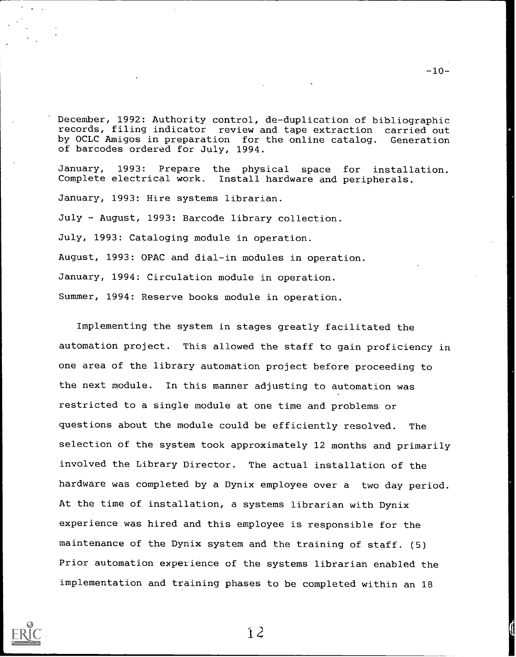December, 1992: Authority control, de-duplication of bibliographic records, filing indicator review and tape extraction carried out<br>by OCLC Amigos in preparation for the online catalog. Generation by OCLC Amigos in preparation for the online catalog. of barcodes ordered for July, 1994.

 $-10-$ 

January, 1993: Prepare the physical space for installation. Complete electrical work. Install hardware and peripherals. January, 1993: Hire systems librarian. July - August, 1993: Barcode library collection. July, 1993: Cataloging module in operation. August, 1993: OPAC and dial-in modules in operation. January, 1994: Circulation module in operation. Summer, 1994: Reserve books module in operation.

Implementing the system in stages greatly facilitated the automation project. This allowed the staff to gain proficiency in one area of the library automation project before proceeding to the next module. In this manner adjusting to automation was restricted to a single module at one time and problems or questions about the module could be efficiently resolved. The selection of the system took approximately 12 months and primarily involved the Library Director. The actual installation of the hardware was completed by a Dynix employee over a two day period. At the time of installation, a systems librarian with Dynix experience was hired and this employee is responsible for the maintenance of the Dynix system and the training of staff. (5) Prior automation experience of the systems librarian enabled the implementation and training phases to be completed within an 18

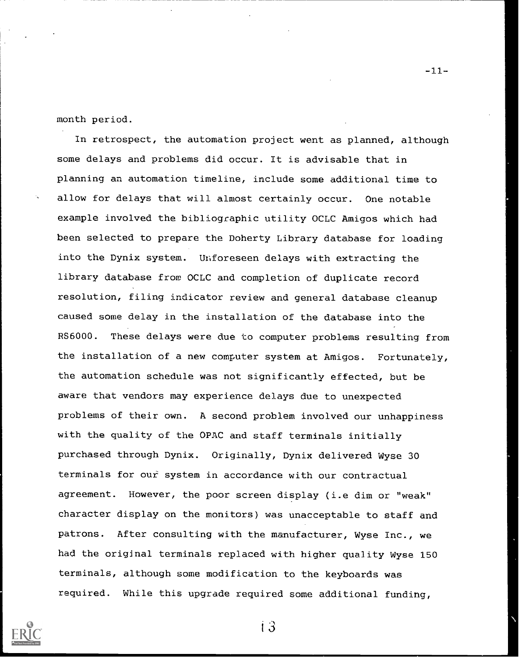month period.

In retrospect, the automation project went as planned, although some delays and problems did occur. It is advisable that in planning an automation timeline, include some additional time to allow for delays that will almost certainly occur. One notable example involved the bibliographic utility OCLC Amigos which had been selected to prepare the Doherty Library database for loading into the Dynix system. Unforeseen delays with extracting the library database from OCLC and completion of duplicate record resolution, filing indicator review and general database cleanup caused some delay in the installation of the database into the RS6000. These delays were due to computer problems resulting from the installation of a new computer system at Amigos. Fortunately, the automation schedule was not significantly effected, but be aware that vendors may experience delays due to unexpected problems of their own. A second problem involved our unhappiness with the quality of the OPAC and staff terminals initially purchased through Dynix. Originally, Dynix delivered Wyse 30 terminals for our system in accordance with our contractual agreement. However, the poor screen display (i.e dim or "weak" character display on the monitors) was unacceptable to staff and patrons. After consulting with the manufacturer, Wyse Inc., we had the original terminals replaced with higher quality Wyse 150 terminals, although some modification to the keyboards was required. While this upgrade required some additional funding,



i 3

 $-11-$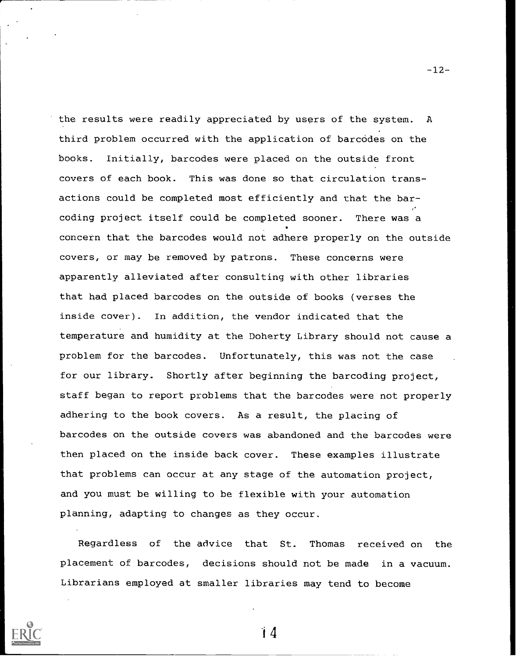the results were readily appreciated by users of the system. A third problem occurred with the application of barcodes on the books. Initially, barcodes were placed on the outside front covers of each book. This was done so that circulation transactions could be completed most efficiently and that the barcoding project itself could be completed sooner. There was a concern that the barcodes would not adhere properly on the outside covers, or may be removed by patrons. These concerns were apparently alleviated after consulting with other libraries that had placed barcodes on the outside of books (verses the inside cover). In addition, the vendor indicated that the temperature and humidity at the Doherty Library should not cause a problem for the barcodes. Unfortunately, this was not the case for our library. Shortly after beginning the barcoding project, staff began to report problems that the barcodes were not properly adhering to the book covers. As a result, the placing of barcodes on the outside covers was abandoned and the barcodes were then placed on the inside back cover. These examples illustrate that problems can occur at any stage of the automation project, and you must be willing to be flexible with your automation planning, adapting to changes as they occur.

Regardless of the advice that St. Thomas received on the placement of barcodes, decisions should not be made in a vacuum. Librarians employed at smaller libraries may tend to become



i4

-12-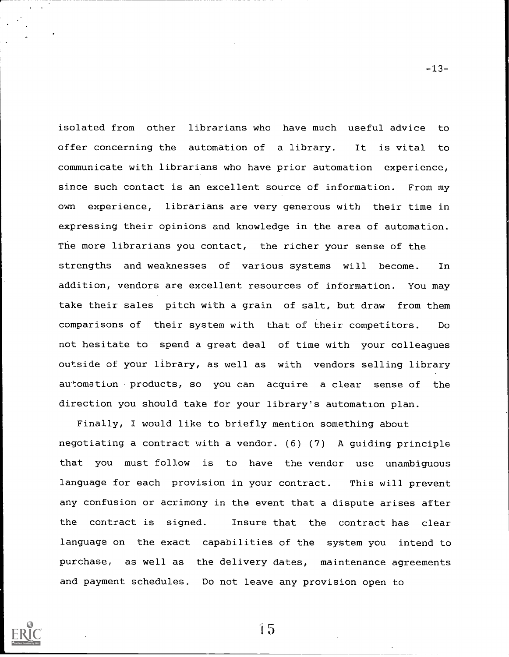isolated from other librarians who have much useful advice to offer concerning the automation of a library. It is vital to communicate with librarians who have prior automation experience, since such contact is an excellent source of information. From my own experience, librarians are very generous with their time in expressing their opinions and knowledge in the area of automation. The more librarians you contact, the richer your sense of the strengths and weaknesses of various systems will become. In addition, vendors are excellent resources of information. You may take their sales pitch with a grain of salt, but draw from them comparisons of their system with that of their competitors. Do not hesitate to spend a great deal of time with your colleagues outside of your library, as well as with vendors selling library automation products, so you can acquire a clear sense of the direction you should take for your library's automation plan.

Finally, I would like to briefly mention something about negotiating a contract with a vendor. (6) (7) A guiding principle that you must follow is to have the vendor use unambiguous language for each provision in your contract. This will prevent any confusion or acrimony in the event that a dispute arises after the contract is signed. Insure that the contract has clear language on the exact capabilities of the system you intend to purchase, as well as the delivery dates, maintenance agreements and payment schedules. Do not leave any provision open to

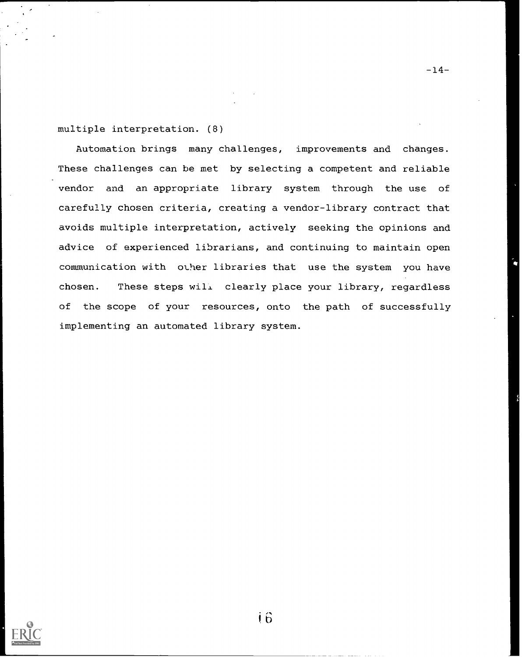multiple interpretation. (8)

Automation brings many challenges, improvements and changes. These challenges can be met by selecting a competent and reliable vendor and an appropriate library system through the use of carefully chosen criteria, creating a vendor-library contract that avoids multiple interpretation, actively seeking the opinions and advice of experienced librarians, and continuing to maintain open communication with other libraries that use the system you have chosen. These steps wili clearly place your library, regardless of the scope of your resources, onto the path of successfully implementing an automated library system.



i 6

 $-14-$